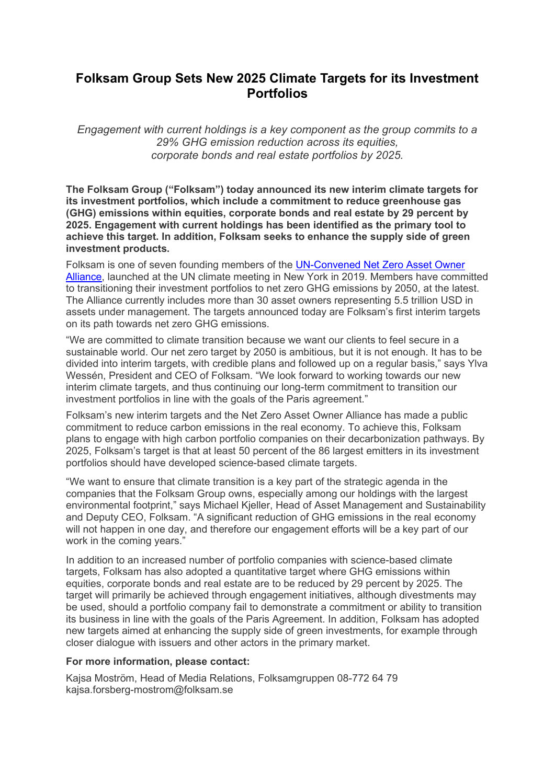## **Folksam Group Sets New 2025 Climate Targets for its Investment Portfolios**

*Engagement with current holdings is a key component as the group commits to a 29% GHG emission reduction across its equities, corporate bonds and real estate portfolios by 2025.*

The Folksam Group ("Folksam") today announced its new interim climate targets for **its investment portfolios, which include a commitment to reduce greenhouse gas (GHG) emissions within equities, corporate bonds and real estate by 29 percent by 2025. Engagement with current holdings has been identified as the primary tool to achieve this target. In addition, Folksam seeks to enhance the supply side of green investment products.**

Folksam is one of seven founding members of the UN-Convened Net Zero Asset Owner Alliance, launched at the UN climate meeting in New York in 2019. Members have committed to transitioning their investment portfolios to net zero GHG emissions by 2050, at the latest. The Alliance currently includes more than 30 asset owners representing 5.5 trillion USD in assets under management. The targets announced today are Folksam's first interim targets on its path towards net zero GHG emissions.

"We are committed to climate transition because we want our clients to feel secure in a sustainable world. Our net zero target by 2050 is ambitious, but it is not enough. It has to be divided into interim targets, with credible plans and followed up on a regular basis," says Ylva Wessén, President and CEO of Folksam. "We look forward to working towards our new interim climate targets, and thus continuing our long-term commitment to transition our investment portfolios in line with the goals of the Paris agreement."

Folksam's new interim targets and the Net Zero Asset Owner Alliance has made a public commitment to reduce carbon emissions in the real economy. To achieve this, Folksam plans to engage with high carbon portfolio companies on their decarbonization pathways. By 2025, Folksam's target is that at least 50 percent of the 86 largest emitters in its investment portfolios should have developed science-based climate targets.

"We want to ensure that climate transition is a key part of the strategic agenda in the companies that the Folksam Group owns, especially among our holdings with the largest environmental footprint," says Michael Kieller, Head of Asset Management and Sustainability and Deputy CEO, Folksam. "A significant reduction of GHG emissions in the real economy will not happen in one day, and therefore our engagement efforts will be a key part of our work in the coming years."

In addition to an increased number of portfolio companies with science-based climate targets, Folksam has also adopted a quantitative target where GHG emissions within equities, corporate bonds and real estate are to be reduced by 29 percent by 2025. The target will primarily be achieved through engagement initiatives, although divestments may be used, should a portfolio company fail to demonstrate a commitment or ability to transition its business in line with the goals of the Paris Agreement. In addition, Folksam has adopted new targets aimed at enhancing the supply side of green investments, for example through closer dialogue with issuers and other actors in the primary market.

## **For more information, please contact:**

Kajsa Moström, Head of Media Relations, Folksamgruppen 08-772 64 79 kajsa.forsberg-mostrom@folksam.se